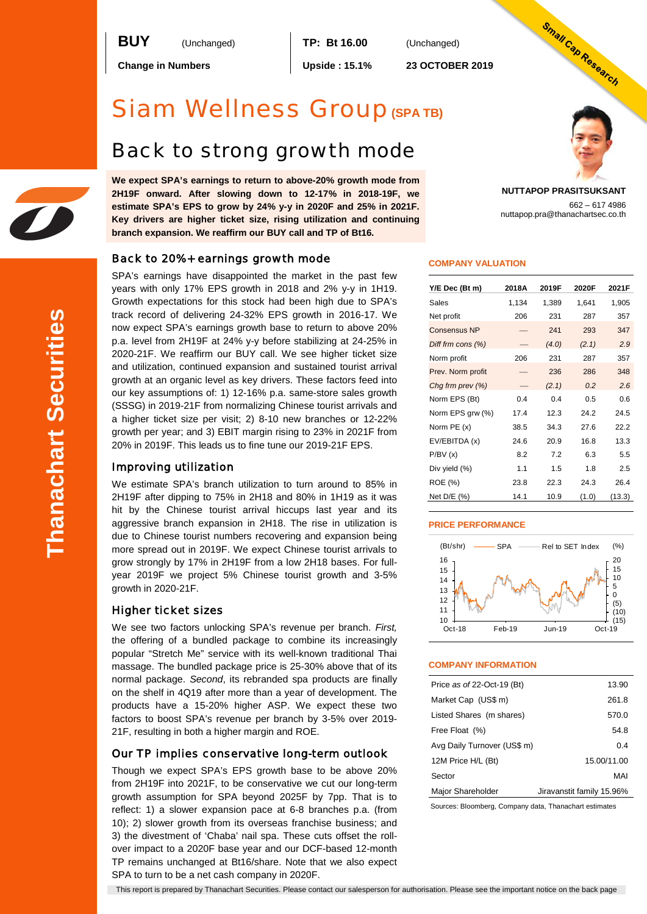**BUY** (Unchanged) **TP: Bt 16.00** (Unchanged)

**Change in Numbers Upside : 15.1% 23 OCTOBER 2019**

# Siam Wellness Group**(SPA TB)**

# Back to strong growth mode

**We expect SPA's earnings to return to above-20% growth mode from 2H19F onward. After slowing down to 12-17% in 2018-19F, we estimate SPA's EPS to grow by 24% y-y in 2020F and 25% in 2021F. Key drivers are higher ticket size, rising utilization and continuing branch expansion. We reaffirm our BUY call and TP of Bt16.**

### Back to 20%+ earnings growth mode

SPA's earnings have disappointed the market in the past few years with only 17% EPS growth in 2018 and 2% y-y in 1H19. Growth expectations for this stock had been high due to SPA's track record of delivering 24-32% EPS growth in 2016-17. We now expect SPA's earnings growth base to return to above 20% p.a. level from 2H19F at 24% y-y before stabilizing at 24-25% in 2020-21F. We reaffirm our BUY call. We see higher ticket size and utilization, continued expansion and sustained tourist arrival growth at an organic level as key drivers. These factors feed into our key assumptions of: 1) 12-16% p.a. same-store sales growth (SSSG) in 2019-21F from normalizing Chinese tourist arrivals and a higher ticket size per visit; 2) 8-10 new branches or 12-22% growth per year; and 3) EBIT margin rising to 23% in 2021F from 20% in 2019F. This leads us to fine tune our 2019-21F EPS.

### Improving utilization

We estimate SPA's branch utilization to turn around to 85% in 2H19F after dipping to 75% in 2H18 and 80% in 1H19 as it was hit by the Chinese tourist arrival hiccups last year and its aggressive branch expansion in 2H18. The rise in utilization is due to Chinese tourist numbers recovering and expansion being more spread out in 2019F. We expect Chinese tourist arrivals to grow strongly by 17% in 2H19F from a low 2H18 bases. For fullyear 2019F we project 5% Chinese tourist growth and 3-5% growth in 2020-21F.

### Higher ticket sizes

We see two factors unlocking SPA's revenue per branch. *First,*  the offering of a bundled package to combine its increasingly popular "Stretch Me" service with its well-known traditional Thai massage. The bundled package price is 25-30% above that of its normal package. *Second*, its rebranded spa products are finally on the shelf in 4Q19 after more than a year of development. The products have a 15-20% higher ASP. We expect these two factors to boost SPA's revenue per branch by 3-5% over 2019- 21F, resulting in both a higher margin and ROE.

### Our TP implies conservative long-term outlook

Though we expect SPA's EPS growth base to be above 20% from 2H19F into 2021F, to be conservative we cut our long-term growth assumption for SPA beyond 2025F by 7pp. That is to reflect: 1) a slower expansion pace at 6-8 branches p.a. (from 10); 2) slower growth from its overseas franchise business; and 3) the divestment of 'Chaba' nail spa. These cuts offset the rollover impact to a 2020F base year and our DCF-based 12-month TP remains unchanged at Bt16/share. Note that we also expect SPA to turn to be a net cash company in 2020F.

Small Cap Research

**NUTTAPOP PRASITSUKSANT** 662 – 617 4986 nuttapop.pra@thanachartsec.co.th

#### **COMPANY VALUATION**

| Y/E Dec (Bt m)       | 2018A | 2019F | 2020F | 2021F  |
|----------------------|-------|-------|-------|--------|
| Sales                | 1,134 | 1,389 | 1,641 | 1,905  |
| Net profit           | 206   | 231   | 287   | 357    |
| <b>Consensus NP</b>  |       | 241   | 293   | 347    |
| Diff frm cons $(\%)$ |       | (4.0) | (2.1) | 2.9    |
| Norm profit          | 206   | 231   | 287   | 357    |
| Prev. Norm profit    |       | 236   | 286   | 348    |
| Chg frm prev (%)     |       | (2.1) | 0.2   | 2.6    |
| Norm EPS (Bt)        | 0.4   | 0.4   | 0.5   | 0.6    |
| Norm EPS grw (%)     | 17.4  | 12.3  | 24.2  | 24.5   |
| Norm PE (x)          | 38.5  | 34.3  | 27.6  | 22.2   |
| EV/EBITDA (x)        | 24.6  | 20.9  | 16.8  | 13.3   |
| P/BV(x)              | 8.2   | 7.2   | 6.3   | 5.5    |
| Div yield (%)        | 1.1   | 1.5   | 1.8   | 2.5    |
| <b>ROE</b> (%)       | 23.8  | 22.3  | 24.3  | 26.4   |
| Net D/E (%)          | 14.1  | 10.9  | (1.0) | (13.3) |

#### **PRICE PERFORMANCE**



#### **COMPANY INFORMATION**

| Price as of 22-Oct-19 (Bt)  | 13.90                     |
|-----------------------------|---------------------------|
| Market Cap (US\$ m)         | 261.8                     |
| Listed Shares (m shares)    | 570.0                     |
| Free Float (%)              | 54.8                      |
| Avg Daily Turnover (US\$ m) | 0.4                       |
| 12M Price H/L (Bt)          | 15.00/11.00               |
| Sector                      | MAI                       |
| Major Shareholder           | Jiravanstit family 15.96% |

Sources: Bloomberg, Company data, Thanachart estimates

This report is prepared by Thanachart Securities. Please contact our salesperson for authorisation. Please see the important notice on the back page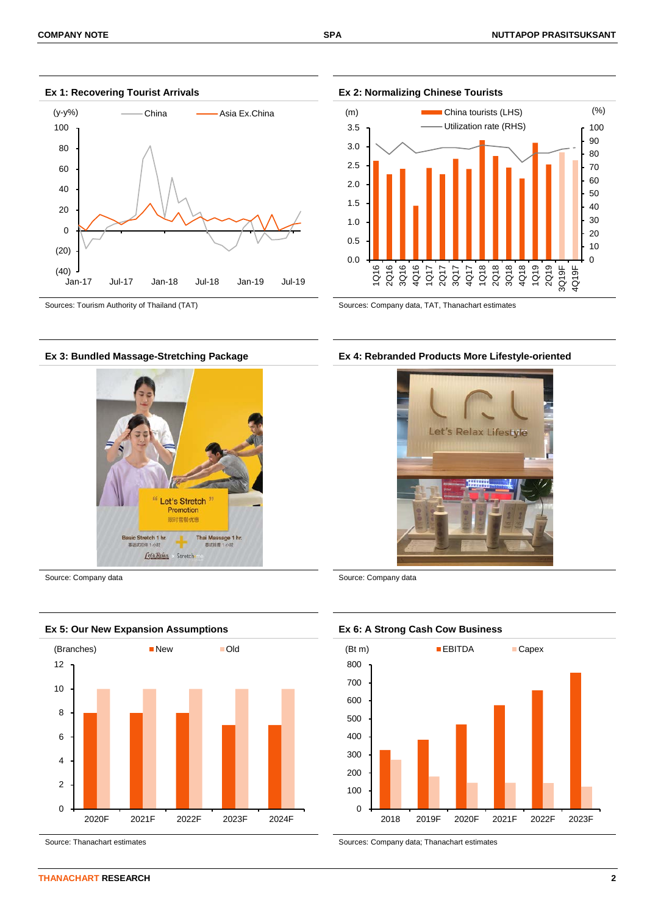

#### **Ex 1: Recovering Tourist Arrivals Ex 2: Normalizing Chinese Tourists**





#### **Ex 3: Bundled Massage-Stretching Package Ex 4: Rebranded Products More Lifestyle-oriented**





Source: Thanachart estimates Sources: Company data; Thanachart estimates Sources: Company data; Thanachart estimates



Source: Company data Source: Company data Source: Company data

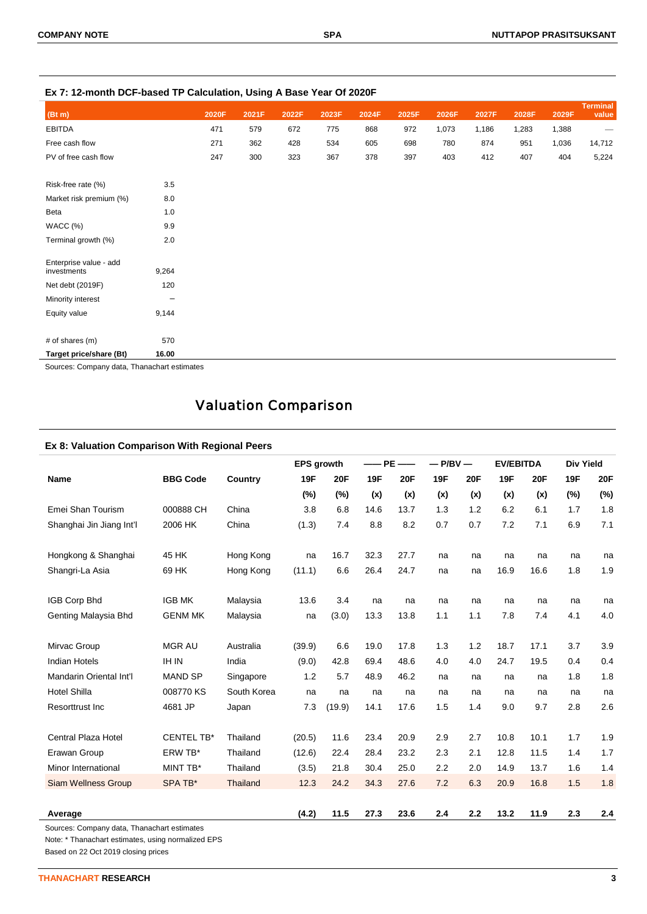|                                       | s. sassa  saisainusii, soilig <i></i> sass |       |       |       | .     |       |       |       |       |       |       |                          |
|---------------------------------------|--------------------------------------------|-------|-------|-------|-------|-------|-------|-------|-------|-------|-------|--------------------------|
| (Bt m)                                |                                            | 2020F | 2021F | 2022F | 2023F | 2024F | 2025F | 2026F | 2027F | 2028F | 2029F | <b>Terminal</b><br>value |
| <b>EBITDA</b>                         |                                            | 471   | 579   | 672   | 775   | 868   | 972   | 1,073 | 1,186 | 1,283 | 1,388 | $\hspace{0.05cm}$        |
| Free cash flow                        |                                            | 271   | 362   | 428   | 534   | 605   | 698   | 780   | 874   | 951   | 1,036 | 14,712                   |
| PV of free cash flow                  |                                            | 247   | 300   | 323   | 367   | 378   | 397   | 403   | 412   | 407   | 404   | 5,224                    |
| Risk-free rate (%)                    | 3.5                                        |       |       |       |       |       |       |       |       |       |       |                          |
| Market risk premium (%)               | 8.0                                        |       |       |       |       |       |       |       |       |       |       |                          |
| Beta                                  | 1.0                                        |       |       |       |       |       |       |       |       |       |       |                          |
| WACC(%)                               | 9.9                                        |       |       |       |       |       |       |       |       |       |       |                          |
| Terminal growth (%)                   | 2.0                                        |       |       |       |       |       |       |       |       |       |       |                          |
| Enterprise value - add<br>investments | 9,264                                      |       |       |       |       |       |       |       |       |       |       |                          |
| Net debt (2019F)                      | 120                                        |       |       |       |       |       |       |       |       |       |       |                          |
| Minority interest                     | -                                          |       |       |       |       |       |       |       |       |       |       |                          |
| Equity value                          | 9,144                                      |       |       |       |       |       |       |       |       |       |       |                          |
| # of shares (m)                       | 570                                        |       |       |       |       |       |       |       |       |       |       |                          |
| Target price/share (Bt)               | 16.00                                      |       |       |       |       |       |       |       |       |       |       |                          |

**Ex 7: 12-month DCF-based TP Calculation, Using A Base Year Of 2020F**

Sources: Company data, Thanachart estimates

## Valuation Comparison

### **Ex 8: Valuation Comparison With Regional Peers**

|                            |                   |             | <b>EPS</b> growth |        | $-PE$ | $-\!$ | $-P/BV$ $-$ |            | <b>EV/EBITDA</b> |      | <b>Div Yield</b> |            |
|----------------------------|-------------------|-------------|-------------------|--------|-------|-------|-------------|------------|------------------|------|------------------|------------|
| <b>Name</b>                | <b>BBG Code</b>   | Country     | 19F               | 20F    | 19F   | 20F   | <b>19F</b>  | <b>20F</b> | 19F              | 20F  | 19F              | <b>20F</b> |
|                            |                   |             | (%)               | (%)    | (x)   | (x)   | (x)         | (x)        | (x)              | (x)  | (%)              | (%)        |
| Emei Shan Tourism          | 000888 CH         | China       | 3.8               | 6.8    | 14.6  | 13.7  | 1.3         | 1.2        | 6.2              | 6.1  | 1.7              | 1.8        |
| Shanghai Jin Jiang Int'l   | 2006 HK           | China       | (1.3)             | 7.4    | 8.8   | 8.2   | 0.7         | 0.7        | 7.2              | 7.1  | 6.9              | 7.1        |
| Hongkong & Shanghai        | 45 HK             | Hong Kong   | na                | 16.7   | 32.3  | 27.7  | na          | na         | na               | na   | na               | na         |
| Shangri-La Asia            | 69 HK             | Hong Kong   | (11.1)            | 6.6    | 26.4  | 24.7  | na          | na         | 16.9             | 16.6 | 1.8              | 1.9        |
| IGB Corp Bhd               | <b>IGB MK</b>     | Malaysia    | 13.6              | 3.4    | na    | na    | na          | na         | na               | na   | na               | na         |
| Genting Malaysia Bhd       | <b>GENM MK</b>    | Malaysia    | na                | (3.0)  | 13.3  | 13.8  | 1.1         | 1.1        | 7.8              | 7.4  | 4.1              | 4.0        |
| Mirvac Group               | <b>MGR AU</b>     | Australia   | (39.9)            | 6.6    | 19.0  | 17.8  | 1.3         | 1.2        | 18.7             | 17.1 | 3.7              | 3.9        |
| <b>Indian Hotels</b>       | <b>IH IN</b>      | India       | (9.0)             | 42.8   | 69.4  | 48.6  | 4.0         | 4.0        | 24.7             | 19.5 | 0.4              | 0.4        |
| Mandarin Oriental Int'l    | <b>MAND SP</b>    | Singapore   | 1.2               | 5.7    | 48.9  | 46.2  | na          | na         | na               | na   | 1.8              | 1.8        |
| <b>Hotel Shilla</b>        | 008770 KS         | South Korea | na                | na     | na    | na    | na          | na         | na               | na   | na               | na         |
| <b>Resorttrust Inc</b>     | 4681 JP           | Japan       | 7.3               | (19.9) | 14.1  | 17.6  | 1.5         | 1.4        | 9.0              | 9.7  | 2.8              | 2.6        |
| Central Plaza Hotel        | <b>CENTEL TB*</b> | Thailand    | (20.5)            | 11.6   | 23.4  | 20.9  | 2.9         | 2.7        | 10.8             | 10.1 | 1.7              | 1.9        |
| Erawan Group               | ERW TB*           | Thailand    | (12.6)            | 22.4   | 28.4  | 23.2  | 2.3         | 2.1        | 12.8             | 11.5 | 1.4              | 1.7        |
| Minor International        | MINT TB*          | Thailand    | (3.5)             | 21.8   | 30.4  | 25.0  | 2.2         | 2.0        | 14.9             | 13.7 | 1.6              | 1.4        |
| <b>Siam Wellness Group</b> | SPA TB*           | Thailand    | 12.3              | 24.2   | 34.3  | 27.6  | 7.2         | 6.3        | 20.9             | 16.8 | 1.5              | 1.8        |
|                            |                   |             |                   |        |       |       |             |            |                  |      |                  |            |
| Average                    |                   |             | (4.2)             | 11.5   | 27.3  | 23.6  | 2.4         | 2.2        | 13.2             | 11.9 | 2.3              | 2.4        |

Sources: Company data, Thanachart estimates

Note: \* Thanachart estimates, using normalized EPS

Based on 22 Oct 2019 closing prices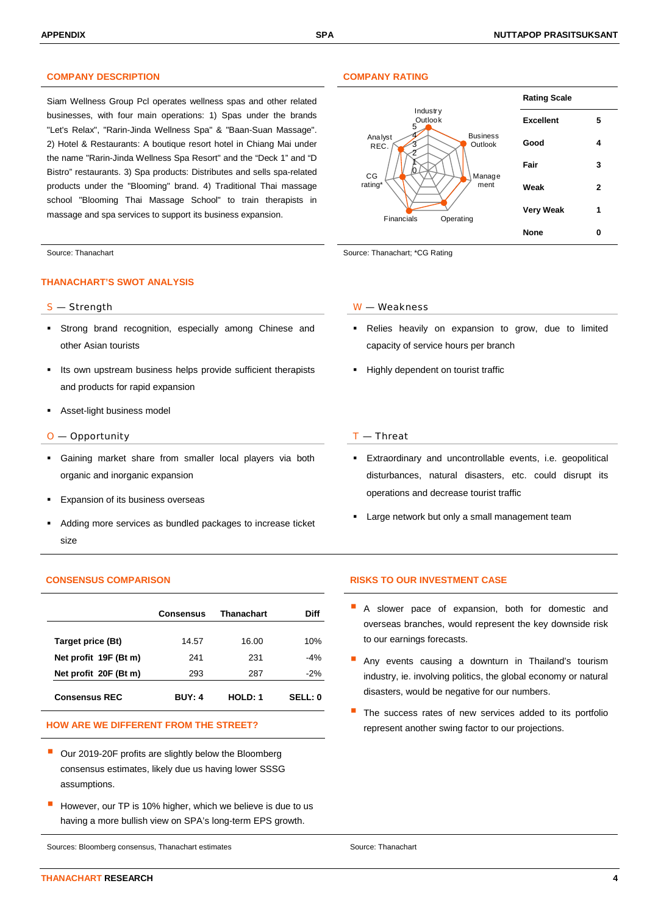### **COMPANY DESCRIPTION COMPANY RATING**

Siam Wellness Group Pcl operates wellness spas and other related businesses, with four main operations: 1) Spas under the brands "Let's Relax", "Rarin-Jinda Wellness Spa" & "Baan-Suan Massage". 2) Hotel & Restaurants: A boutique resort hotel in Chiang Mai under the name "Rarin-Jinda Wellness Spa Resort" and the "Deck 1" and "D Bistro" restaurants. 3) Spa products: Distributes and sells spa-related products under the "Blooming" brand. 4) Traditional Thai massage school "Blooming Thai Massage School" to train therapists in massage and spa services to support its business expansion.

#### **THANACHART'S SWOT ANALYSIS**

- Strong brand recognition, especially among Chinese and other Asian tourists
- Its own upstream business helps provide sufficient therapists and products for rapid expansion
- Asset-light business model

#### $O$  — Opportunity  $I$  — Threat

- Gaining market share from smaller local players via both organic and inorganic expansion
- Expansion of its business overseas
- Adding more services as bundled packages to increase ticket size

|                       | Consensus     | Thanachart | Diff          |
|-----------------------|---------------|------------|---------------|
| Target price (Bt)     | 14.57         | 16.00      | 10%           |
| Net profit 19F (Bt m) | 241           | 231        | $-4%$         |
| Net profit 20F (Bt m) | 293           | 287        | $-2%$         |
| <b>Consensus REC</b>  | <b>BUY: 4</b> | HOLD: 1    | <b>SELL:0</b> |

- Our 2019-20F profits are slightly below the Bloomberg consensus estimates, likely due us having lower SSSG assumptions.
- However, our TP is 10% higher, which we believe is due to us having a more bullish view on SPA's long-term EPS growth.

Sources: Bloomberg consensus, Thanachart estimates Source: Thanachart estimates Source: Thanachart



Source: Thanachart Source: Thanachart Source: Thanachart; \*CG Rating

#### S — Strength W — Weakness

- Relies heavily on expansion to grow, due to limited capacity of service hours per branch
- Highly dependent on tourist traffic

- Extraordinary and uncontrollable events, i.e. geopolitical disturbances, natural disasters, etc. could disrupt its operations and decrease tourist traffic
- Large network but only a small management team

### **CONSENSUS COMPARISON RISKS TO OUR INVESTMENT CASE**

- A slower pace of expansion, both for domestic and overseas branches, would represent the key downside risk to our earnings forecasts.
- Any events causing a downturn in Thailand's tourism industry, ie. involving politics, the global economy or natural disasters, would be negative for our numbers.
- The success rates of new services added to its portfolio HOW ARE WE DIFFERENT FROM THE STREET? **Example 20 and 19 and 19 and 19 and 19 and 19 and 19 and 19 and 19 and 19 and 19 and 19 and 19 and 19 and 19 and 19 and 19 and 19 and 19 and 19 and 19 and 19 and 19 and 19 and 19 and**

**THANACHART RESEARCH 4**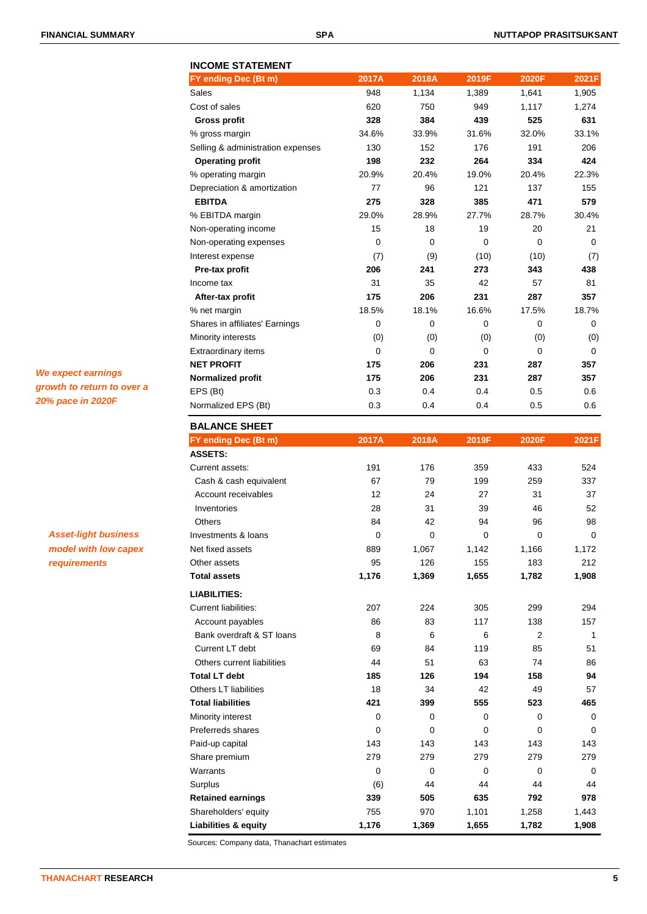**INCOME STATEMENT**

### **FY ending Dec (Bt m) 2017A 2018A 2019F 2020F 2021F** Sales 948 1,134 1,389 1,641 1,905 Cost of sales 620 750 949 1,117 1,274  **Gross profit 328 384 439 525 631** % gross margin 34.6% 33.9% 31.6% 32.0% 33.1% Selling & administration expenses  $130$  152 176 191 206  **Operating profit 198 232 264 334 424** % operating margin 20.9% 20.4% 19.0% 20.4% 22.3% Depreciation & amortization **77** 96 121 137 155  **EBITDA 275 328 385 471 579** % EBITDA margin 29.0% 28.9% 27.7% 28.7% 30.4% Non-operating income 15 18 19 20 21 Non-operating expenses 0 0 0 0 0 Interest expense (7) (9) (10) (10) (7)  **Pre-tax profit 206 241 273 343 438** Income tax 31 35 42 57 81  **After-tax profit 175 206 231 287 357** % net margin 18.5% 18.1% 16.6% 17.5% 18.7% Shares in affiliates' Earnings 0 0 0 0 0 Minority interests (0) (0) (0) (0) (0) (0) (0) Extraordinary items 0 0 0 0 0 0 0 **NET PROFIT 175 206 231 287 357 Normalized profit 175 206 231 287 357** EPS (Bt) 0.3 0.4 0.4 0.5 0.6 Normalized EPS (Bt) 0.3 0.4 0.4 0.5 0.6 **BALANCE SHEET**

| FY ending Dec (Bt m)            | 2017A          | 2018A       | 2019F       | 2020F          | 2021F       |
|---------------------------------|----------------|-------------|-------------|----------------|-------------|
| <b>ASSETS:</b>                  |                |             |             |                |             |
| Current assets:                 | 191            | 176         | 359         | 433            | 524         |
| Cash & cash equivalent          | 67             | 79          | 199         | 259            | 337         |
| Account receivables             | 12             | 24          | 27          | 31             | 37          |
| Inventories                     | 28             | 31          | 39          | 46             | 52          |
| Others                          | 84             | 42          | 94          | 96             | 98          |
| Investments & loans             | $\mathbf{0}$   | $\Omega$    | $\Omega$    | $\Omega$       | $\Omega$    |
| Net fixed assets                | 889            | 1,067       | 1,142       | 1,166          | 1,172       |
| Other assets                    | 95             | 126         | 155         | 183            | 212         |
| <b>Total assets</b>             | 1,176          | 1,369       | 1,655       | 1,782          | 1,908       |
| <b>LIABILITIES:</b>             |                |             |             |                |             |
| <b>Current liabilities:</b>     | 207            | 224         | 305         | 299            | 294         |
| Account payables                | 86             | 83          | 117         | 138            | 157         |
| Bank overdraft & ST loans       | 8              | 6           | 6           | $\overline{2}$ | 1           |
| Current LT debt                 | 69             | 84          | 119         | 85             | 51          |
| Others current liabilities      | 44             | 51          | 63          | 74             | 86          |
| <b>Total LT debt</b>            | 185            | 126         | 194         | 158            | 94          |
| Others LT liabilities           | 18             | 34          | 42          | 49             | 57          |
| <b>Total liabilities</b>        | 421            | 399         | 555         | 523            | 465         |
| Minority interest               | $\mathbf 0$    | $\mathbf 0$ | $\mathbf 0$ | $\Omega$       | 0           |
| Preferreds shares               | $\overline{0}$ | $\mathbf 0$ | $\mathbf 0$ | $\mathbf 0$    | $\mathbf 0$ |
| Paid-up capital                 | 143            | 143         | 143         | 143            | 143         |
| Share premium                   | 279            | 279         | 279         | 279            | 279         |
| Warrants                        | 0              | $\Omega$    | $\Omega$    | $\Omega$       | 0           |
| Surplus                         | (6)            | 44          | 44          | 44             | 44          |
| <b>Retained earnings</b>        | 339            | 505         | 635         | 792            | 978         |
| Shareholders' equity            | 755            | 970         | 1,101       | 1,258          | 1,443       |
| <b>Liabilities &amp; equity</b> | 1,176          | 1,369       | 1,655       | 1,782          | 1,908       |

Sources: Company data, Thanachart estimates

## *We expect earnings growth to return to over a 20% pace in 2020F*

*Asset-light business model with low capex requirements*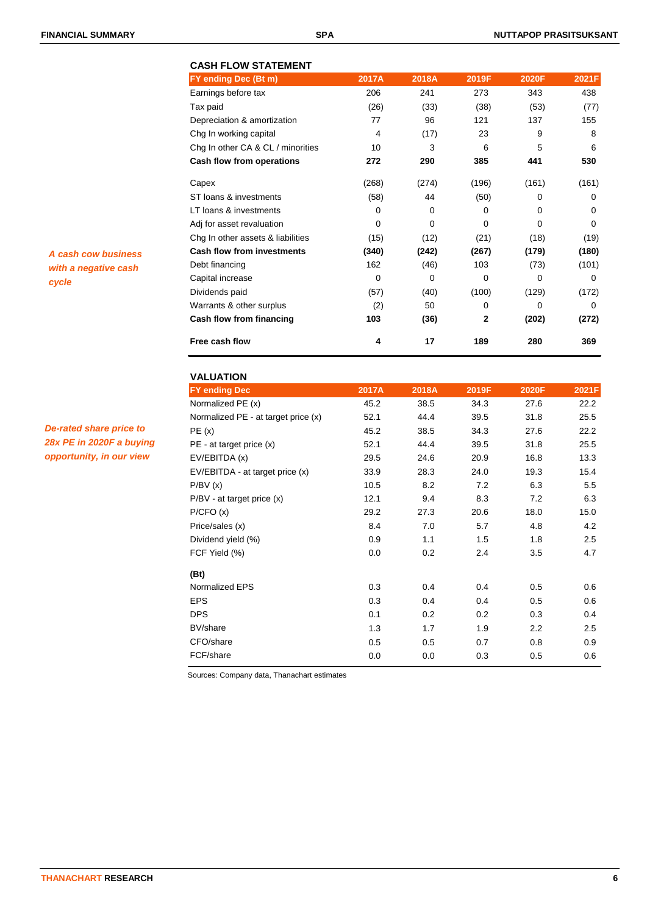|                      | <b>CASH FLOW STATEMENT</b>        |             |          |       |             |          |
|----------------------|-----------------------------------|-------------|----------|-------|-------------|----------|
|                      | FY ending Dec (Bt m)              | 2017A       | 2018A    | 2019F | 2020F       | 2021F    |
|                      | Earnings before tax               | 206         | 241      | 273   | 343         | 438      |
|                      | Tax paid                          | (26)        | (33)     | (38)  | (53)        | (77)     |
|                      | Depreciation & amortization       | 77          | 96       | 121   | 137         | 155      |
|                      | Chg In working capital            | 4           | (17)     | 23    | 9           | 8        |
|                      | Chg In other CA & CL / minorities | 10          | 3        | 6     | 5           | 6        |
|                      | <b>Cash flow from operations</b>  | 272         | 290      | 385   | 441         | 530      |
|                      | Capex                             | (268)       | (274)    | (196) | (161)       | (161)    |
|                      | ST loans & investments            | (58)        | 44       | (50)  | $\Omega$    | 0        |
|                      | LT loans & investments            | 0           | 0        | 0     | 0           | $\Omega$ |
|                      | Adj for asset revaluation         | 0           | 0        | 0     | $\mathbf 0$ | 0        |
|                      | Chg In other assets & liabilities | (15)        | (12)     | (21)  | (18)        | (19)     |
| A cash cow business  | <b>Cash flow from investments</b> | (340)       | (242)    | (267) | (179)       | (180)    |
| with a negative cash | Debt financing                    | 162         | (46)     | 103   | (73)        | (101)    |
| cycle                | Capital increase                  | $\mathbf 0$ | $\Omega$ | 0     | 0           | $\Omega$ |
|                      | Dividends paid                    | (57)        | (40)     | (100) | (129)       | (172)    |
|                      | Warrants & other surplus          | (2)         | 50       | 0     | 0           | 0        |
|                      | Cash flow from financing          | 103         | (36)     | 2     | (202)       | (272)    |
|                      | Free cash flow                    | 4           | 17       | 189   | 280         | 369      |

| De-rated share price to  |
|--------------------------|
| 28x PE in 2020F a buying |
| opportunity, in our view |

| <b>VALUATION</b>                    |       |       |       |       |         |
|-------------------------------------|-------|-------|-------|-------|---------|
| <b>FY ending Dec</b>                | 2017A | 2018A | 2019F | 2020F | 2021F   |
| Normalized PE (x)                   | 45.2  | 38.5  | 34.3  | 27.6  | 22.2    |
| Normalized PE - at target price (x) | 52.1  | 44.4  | 39.5  | 31.8  | 25.5    |
| PE(x)                               | 45.2  | 38.5  | 34.3  | 27.6  | 22.2    |
| $PE - at target price (x)$          | 52.1  | 44.4  | 39.5  | 31.8  | 25.5    |
| EV/EBITDA (x)                       | 29.5  | 24.6  | 20.9  | 16.8  | 13.3    |
| EV/EBITDA - at target price (x)     | 33.9  | 28.3  | 24.0  | 19.3  | 15.4    |
| P/BV(x)                             | 10.5  | 8.2   | 7.2   | 6.3   | 5.5     |
| P/BV - at target price (x)          | 12.1  | 9.4   | 8.3   | 7.2   | 6.3     |
| P/CFO(x)                            | 29.2  | 27.3  | 20.6  | 18.0  | 15.0    |
| Price/sales (x)                     | 8.4   | 7.0   | 5.7   | 4.8   | 4.2     |
| Dividend yield (%)                  | 0.9   | 1.1   | 1.5   | 1.8   | 2.5     |
| FCF Yield (%)                       | 0.0   | 0.2   | 2.4   | 3.5   | 4.7     |
| (Bt)                                |       |       |       |       |         |
| Normalized EPS                      | 0.3   | 0.4   | 0.4   | 0.5   | 0.6     |
| <b>EPS</b>                          | 0.3   | 0.4   | 0.4   | 0.5   | 0.6     |
| <b>DPS</b>                          | 0.1   | 0.2   | 0.2   | 0.3   | 0.4     |
| BV/share                            | 1.3   | 1.7   | 1.9   | 2.2   | $2.5\,$ |
| CFO/share                           | 0.5   | 0.5   | 0.7   | 0.8   | 0.9     |
| FCF/share                           | 0.0   | 0.0   | 0.3   | 0.5   | 0.6     |

Sources: Company data, Thanachart estimates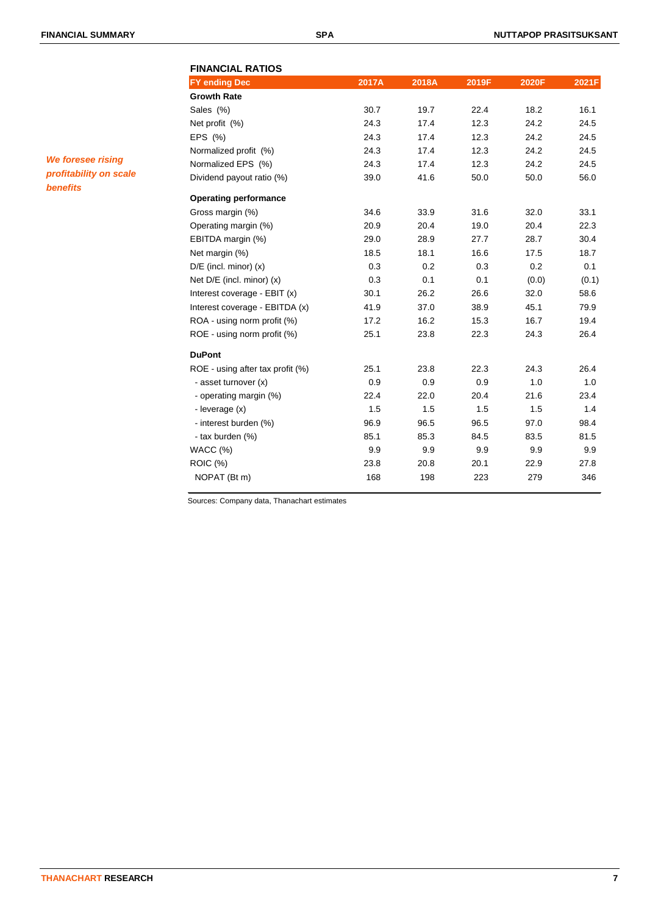| <b>FY ending Dec</b>             | 2017A | 2018A | 2019F | 2020F | 2021F |
|----------------------------------|-------|-------|-------|-------|-------|
| <b>Growth Rate</b>               |       |       |       |       |       |
| Sales (%)                        | 30.7  | 19.7  | 22.4  | 18.2  | 16.1  |
| Net profit (%)                   | 24.3  | 17.4  | 12.3  | 24.2  | 24.5  |
| EPS (%)                          | 24.3  | 17.4  | 12.3  | 24.2  | 24.5  |
| Normalized profit (%)            | 24.3  | 17.4  | 12.3  | 24.2  | 24.5  |
| Normalized EPS (%)               | 24.3  | 17.4  | 12.3  | 24.2  | 24.5  |
| Dividend payout ratio (%)        | 39.0  | 41.6  | 50.0  | 50.0  | 56.0  |
| <b>Operating performance</b>     |       |       |       |       |       |
| Gross margin (%)                 | 34.6  | 33.9  | 31.6  | 32.0  | 33.1  |
| Operating margin (%)             | 20.9  | 20.4  | 19.0  | 20.4  | 22.3  |
| EBITDA margin (%)                | 29.0  | 28.9  | 27.7  | 28.7  | 30.4  |
| Net margin (%)                   | 18.5  | 18.1  | 16.6  | 17.5  | 18.7  |
| $D/E$ (incl. minor) $(x)$        | 0.3   | 0.2   | 0.3   | 0.2   | 0.1   |
| Net $D/E$ (incl. minor) $(x)$    | 0.3   | 0.1   | 0.1   | (0.0) | (0.1) |
| Interest coverage - EBIT (x)     | 30.1  | 26.2  | 26.6  | 32.0  | 58.6  |
| Interest coverage - EBITDA (x)   | 41.9  | 37.0  | 38.9  | 45.1  | 79.9  |
| ROA - using norm profit (%)      | 17.2  | 16.2  | 15.3  | 16.7  | 19.4  |
| ROE - using norm profit (%)      | 25.1  | 23.8  | 22.3  | 24.3  | 26.4  |
| <b>DuPont</b>                    |       |       |       |       |       |
| ROE - using after tax profit (%) | 25.1  | 23.8  | 22.3  | 24.3  | 26.4  |
| - asset turnover (x)             | 0.9   | 0.9   | 0.9   | 1.0   | 1.0   |
| - operating margin (%)           | 22.4  | 22.0  | 20.4  | 21.6  | 23.4  |
| - leverage (x)                   | 1.5   | 1.5   | 1.5   | 1.5   | 1.4   |
| - interest burden (%)            | 96.9  | 96.5  | 96.5  | 97.0  | 98.4  |
| - tax burden (%)                 | 85.1  | 85.3  | 84.5  | 83.5  | 81.5  |
| WACC (%)                         | 9.9   | 9.9   | 9.9   | 9.9   | 9.9   |
| <b>ROIC (%)</b>                  | 23.8  | 20.8  | 20.1  | 22.9  | 27.8  |
| NOPAT (Bt m)                     | 168   | 198   | 223   | 279   | 346   |

Sources: Company data, Thanachart estimates

*We foresee rising profitability on scale benefits*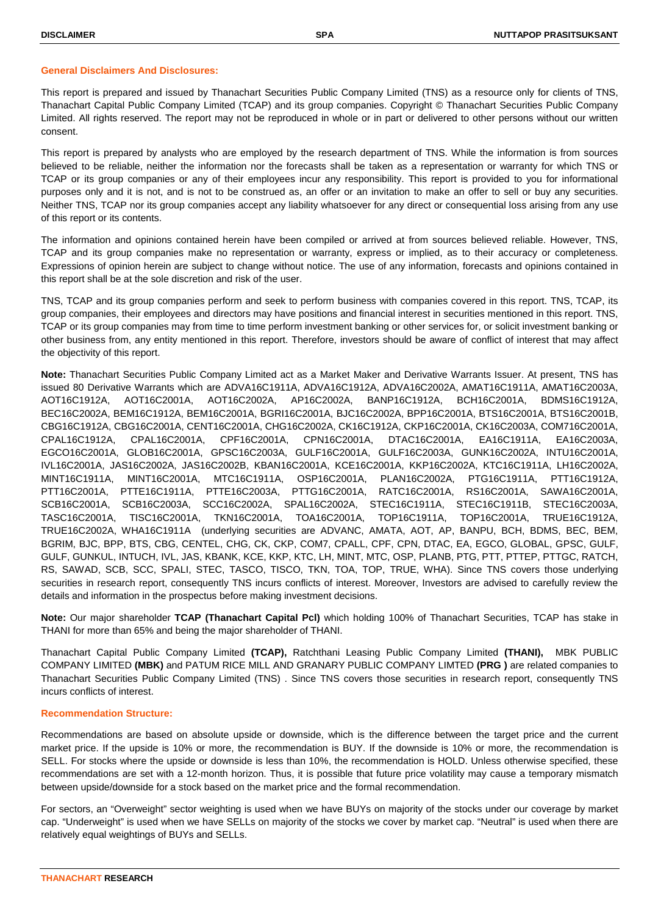#### **General Disclaimers And Disclosures:**

This report is prepared and issued by Thanachart Securities Public Company Limited (TNS) as a resource only for clients of TNS, Thanachart Capital Public Company Limited (TCAP) and its group companies. Copyright © Thanachart Securities Public Company Limited. All rights reserved. The report may not be reproduced in whole or in part or delivered to other persons without our written consent.

This report is prepared by analysts who are employed by the research department of TNS. While the information is from sources believed to be reliable, neither the information nor the forecasts shall be taken as a representation or warranty for which TNS or TCAP or its group companies or any of their employees incur any responsibility. This report is provided to you for informational purposes only and it is not, and is not to be construed as, an offer or an invitation to make an offer to sell or buy any securities. Neither TNS, TCAP nor its group companies accept any liability whatsoever for any direct or consequential loss arising from any use of this report or its contents.

The information and opinions contained herein have been compiled or arrived at from sources believed reliable. However, TNS, TCAP and its group companies make no representation or warranty, express or implied, as to their accuracy or completeness. Expressions of opinion herein are subject to change without notice. The use of any information, forecasts and opinions contained in this report shall be at the sole discretion and risk of the user.

TNS, TCAP and its group companies perform and seek to perform business with companies covered in this report. TNS, TCAP, its group companies, their employees and directors may have positions and financial interest in securities mentioned in this report. TNS, TCAP or its group companies may from time to time perform investment banking or other services for, or solicit investment banking or other business from, any entity mentioned in this report. Therefore, investors should be aware of conflict of interest that may affect the objectivity of this report.

**Note:** Thanachart Securities Public Company Limited act as a Market Maker and Derivative Warrants Issuer. At present, TNS has issued 80 Derivative Warrants which are ADVA16C1911A, ADVA16C1912A, ADVA16C2002A, AMAT16C1911A, AMAT16C2003A, AOT16C1912A, AOT16C2001A, AOT16C2002A, AP16C2002A, BANP16C1912A, BCH16C2001A, BDMS16C1912A, BEC16C2002A, BEM16C1912A, BEM16C2001A, BGRI16C2001A, BJC16C2002A, BPP16C2001A, BTS16C2001A, BTS16C2001B, CBG16C1912A, CBG16C2001A, CENT16C2001A, CHG16C2002A, CK16C1912A, CKP16C2001A, CK16C2003A, COM716C2001A, CPAL16C1912A, CPAL16C2001A, CPF16C2001A, CPN16C2001A, DTAC16C2001A, EA16C1911A, EA16C2003A, EGCO16C2001A, GLOB16C2001A, GPSC16C2003A, GULF16C2001A, GULF16C2003A, GUNK16C2002A, INTU16C2001A, IVL16C2001A, JAS16C2002A, JAS16C2002B, KBAN16C2001A, KCE16C2001A, KKP16C2002A, KTC16C1911A, LH16C2002A, MINT16C1911A, MINT16C2001A, MTC16C1911A, OSP16C2001A, PLAN16C2002A, PTG16C1911A, PTT16C1912A, PTT16C2001A, PTTE16C1911A, PTTE16C2003A, PTTG16C2001A, RATC16C2001A, RS16C2001A, SAWA16C2001A, SCB16C2001A, SCB16C2003A, SCC16C2002A, SPAL16C2002A, STEC16C1911A, STEC16C1911B, STEC16C2003A, TASC16C2001A, TISC16C2001A, TKN16C2001A, TOA16C2001A, TOP16C1911A, TOP16C2001A, TRUE16C1912A, TRUE16C2002A, WHA16C1911A (underlying securities are ADVANC, AMATA, AOT, AP, BANPU, BCH, BDMS, BEC, BEM, BGRIM, BJC, BPP, BTS, CBG, CENTEL, CHG, CK, CKP, COM7, CPALL, CPF, CPN, DTAC, EA, EGCO, GLOBAL, GPSC, GULF, GULF, GUNKUL, INTUCH, IVL, JAS, KBANK, KCE, KKP, KTC, LH, MINT, MTC, OSP, PLANB, PTG, PTT, PTTEP, PTTGC, RATCH, RS, SAWAD, SCB, SCC, SPALI, STEC, TASCO, TISCO, TKN, TOA, TOP, TRUE, WHA). Since TNS covers those underlying securities in research report, consequently TNS incurs conflicts of interest. Moreover, Investors are advised to carefully review the details and information in the prospectus before making investment decisions.

**Note:** Our major shareholder **TCAP (Thanachart Capital Pcl)** which holding 100% of Thanachart Securities, TCAP has stake in THANI for more than 65% and being the major shareholder of THANI.

Thanachart Capital Public Company Limited **(TCAP),** Ratchthani Leasing Public Company Limited **(THANI),** MBK PUBLIC COMPANY LIMITED **(MBK)** and PATUM RICE MILL AND GRANARY PUBLIC COMPANY LIMTED **(PRG )** are related companies to Thanachart Securities Public Company Limited (TNS) . Since TNS covers those securities in research report, consequently TNS incurs conflicts of interest.

#### **Recommendation Structure:**

Recommendations are based on absolute upside or downside, which is the difference between the target price and the current market price. If the upside is 10% or more, the recommendation is BUY. If the downside is 10% or more, the recommendation is SELL. For stocks where the upside or downside is less than 10%, the recommendation is HOLD. Unless otherwise specified, these recommendations are set with a 12-month horizon. Thus, it is possible that future price volatility may cause a temporary mismatch between upside/downside for a stock based on the market price and the formal recommendation.

For sectors, an "Overweight" sector weighting is used when we have BUYs on majority of the stocks under our coverage by market cap. "Underweight" is used when we have SELLs on majority of the stocks we cover by market cap. "Neutral" is used when there are relatively equal weightings of BUYs and SELLs.